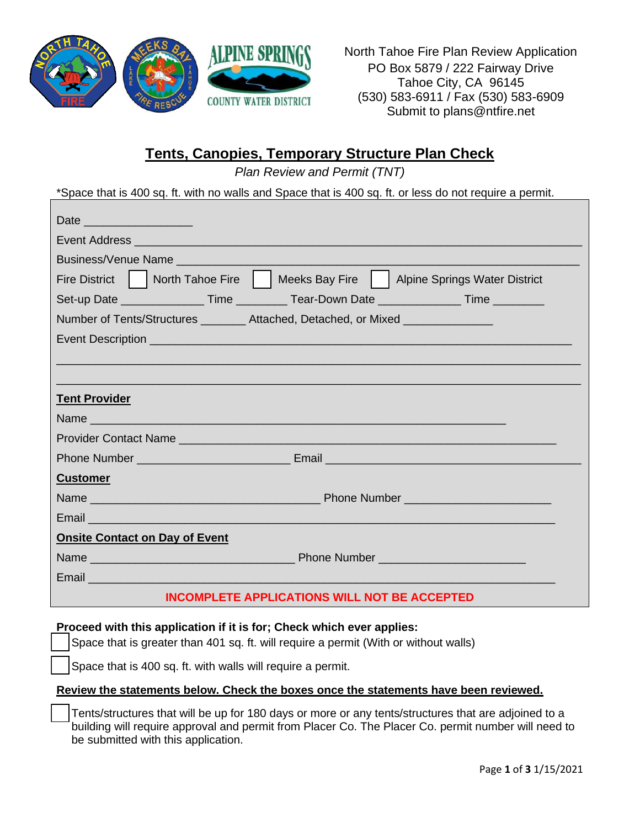

North Tahoe Fire Plan Review Application PO Box 5879 / 222 Fairway Drive Tahoe City, CA 96145 (530) 583-6911 / Fax (530) 583-6909 Submit to plans@ntfire.net

## **Tents, Canopies, Temporary Structure Plan Check**

*Plan Review and Permit (TNT)*

\*Space that is 400 sq. ft. with no walls and Space that is 400 sq. ft. or less do not require a permit.

| Date _____________________                                                                                     |
|----------------------------------------------------------------------------------------------------------------|
|                                                                                                                |
| Business/Venue Name                                                                                            |
| Fire District   North Tahoe Fire     Meeks Bay Fire     Alpine Springs Water District                          |
| Set-up Date ___________________Time ___________Tear-Down Date _________________Time _________                  |
| Number of Tents/Structures ________ Attached, Detached, or Mixed ______________                                |
|                                                                                                                |
|                                                                                                                |
|                                                                                                                |
| <b>Tent Provider</b>                                                                                           |
|                                                                                                                |
|                                                                                                                |
|                                                                                                                |
| <b>Customer</b>                                                                                                |
|                                                                                                                |
|                                                                                                                |
| <b>Onsite Contact on Day of Event</b>                                                                          |
|                                                                                                                |
| Email et al. 2003 - Contract and Contract and Contract and Contract and Contract and Contract and Contract and |
| <b>INCOMPLETE APPLICATIONS WILL NOT BE ACCEPTED</b>                                                            |

## **Proceed with this application if it is for; Check which ever applies:**

Space that is greater than 401 sq. ft. will require a permit (With or without walls)

Space that is 400 sq. ft. with walls will require a permit.

## **Review the statements below. Check the boxes once the statements have been reviewed.**

Tents/structures that will be up for 180 days or more or any tents/structures that are adjoined to a building will require approval and permit from Placer Co. The Placer Co. permit number will need to be submitted with this application.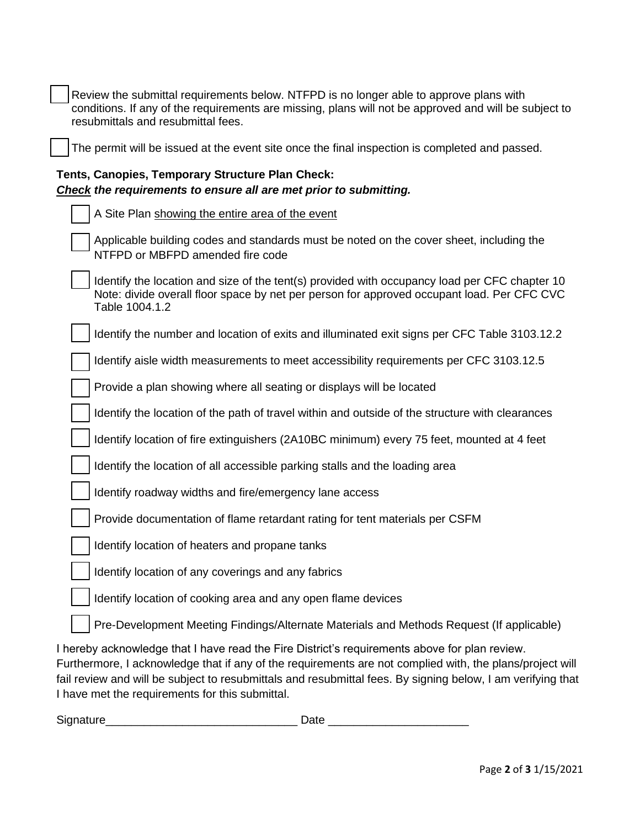| Review the submittal requirements below. NTFPD is no longer able to approve plans with<br>conditions. If any of the requirements are missing, plans will not be approved and will be subject to<br>resubmittals and resubmittal fees.                                                                                    |
|--------------------------------------------------------------------------------------------------------------------------------------------------------------------------------------------------------------------------------------------------------------------------------------------------------------------------|
| The permit will be issued at the event site once the final inspection is completed and passed.                                                                                                                                                                                                                           |
| Tents, Canopies, Temporary Structure Plan Check:<br>Check the requirements to ensure all are met prior to submitting.                                                                                                                                                                                                    |
| A Site Plan showing the entire area of the event                                                                                                                                                                                                                                                                         |
| Applicable building codes and standards must be noted on the cover sheet, including the<br>NTFPD or MBFPD amended fire code                                                                                                                                                                                              |
| Identify the location and size of the tent(s) provided with occupancy load per CFC chapter 10<br>Note: divide overall floor space by net per person for approved occupant load. Per CFC CVC<br>Table 1004.1.2                                                                                                            |
| Identify the number and location of exits and illuminated exit signs per CFC Table 3103.12.2                                                                                                                                                                                                                             |
| Identify aisle width measurements to meet accessibility requirements per CFC 3103.12.5                                                                                                                                                                                                                                   |
| Provide a plan showing where all seating or displays will be located                                                                                                                                                                                                                                                     |
| Identify the location of the path of travel within and outside of the structure with clearances                                                                                                                                                                                                                          |
| Identify location of fire extinguishers (2A10BC minimum) every 75 feet, mounted at 4 feet                                                                                                                                                                                                                                |
| Identify the location of all accessible parking stalls and the loading area                                                                                                                                                                                                                                              |
| Identify roadway widths and fire/emergency lane access                                                                                                                                                                                                                                                                   |
| Provide documentation of flame retardant rating for tent materials per CSFM                                                                                                                                                                                                                                              |
| Identify location of heaters and propane tanks                                                                                                                                                                                                                                                                           |
| Identify location of any coverings and any fabrics                                                                                                                                                                                                                                                                       |
| Identify location of cooking area and any open flame devices                                                                                                                                                                                                                                                             |
| Pre-Development Meeting Findings/Alternate Materials and Methods Request (If applicable)                                                                                                                                                                                                                                 |
| I hereby acknowledge that I have read the Fire District's requirements above for plan review.<br>Furthermore, I acknowledge that if any of the requirements are not complied with, the plans/project will<br>fail review and will be subject to resubmittals and resubmittal fees. By signing below, I am verifying that |

Signature\_\_\_\_\_\_\_\_\_\_\_\_\_\_\_\_\_\_\_\_\_\_\_\_\_\_\_\_\_\_ Date \_\_\_\_\_\_\_\_\_\_\_\_\_\_\_\_\_\_\_\_\_\_

I have met the requirements for this submittal.